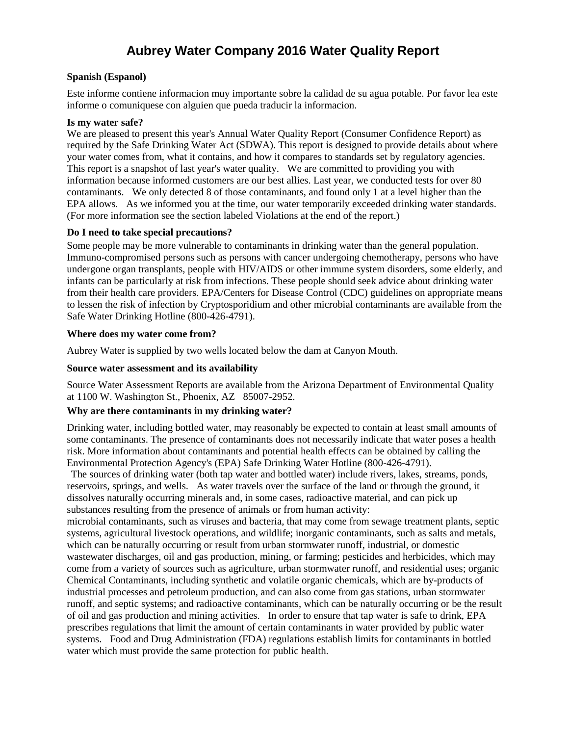# **Aubrey Water Company 2016 Water Quality Report**

#### **Spanish (Espanol)**

Este informe contiene informacion muy importante sobre la calidad de su agua potable. Por favor lea este informe o comuniquese con alguien que pueda traducir la informacion.

#### **Is my water safe?**

We are pleased to present this year's Annual Water Quality Report (Consumer Confidence Report) as required by the Safe Drinking Water Act (SDWA). This report is designed to provide details about where your water comes from, what it contains, and how it compares to standards set by regulatory agencies. This report is a snapshot of last year's water quality. We are committed to providing you with information because informed customers are our best allies. Last year, we conducted tests for over 80 contaminants. We only detected 8 of those contaminants, and found only 1 at a level higher than the EPA allows. As we informed you at the time, our water temporarily exceeded drinking water standards. (For more information see the section labeled Violations at the end of the report.)

#### **Do I need to take special precautions?**

Some people may be more vulnerable to contaminants in drinking water than the general population. Immuno-compromised persons such as persons with cancer undergoing chemotherapy, persons who have undergone organ transplants, people with HIV/AIDS or other immune system disorders, some elderly, and infants can be particularly at risk from infections. These people should seek advice about drinking water from their health care providers. EPA/Centers for Disease Control (CDC) guidelines on appropriate means to lessen the risk of infection by Cryptosporidium and other microbial contaminants are available from the Safe Water Drinking Hotline (800-426-4791).

#### **Where does my water come from?**

Aubrey Water is supplied by two wells located below the dam at Canyon Mouth.

#### **Source water assessment and its availability**

Source Water Assessment Reports are available from the Arizona Department of Environmental Quality at 1100 W. Washington St., Phoenix, AZ 85007-2952.

#### **Why are there contaminants in my drinking water?**

Drinking water, including bottled water, may reasonably be expected to contain at least small amounts of some contaminants. The presence of contaminants does not necessarily indicate that water poses a health risk. More information about contaminants and potential health effects can be obtained by calling the Environmental Protection Agency's (EPA) Safe Drinking Water Hotline (800-426-4791).

The sources of drinking water (both tap water and bottled water) include rivers, lakes, streams, ponds, reservoirs, springs, and wells. As water travels over the surface of the land or through the ground, it dissolves naturally occurring minerals and, in some cases, radioactive material, and can pick up substances resulting from the presence of animals or from human activity:

microbial contaminants, such as viruses and bacteria, that may come from sewage treatment plants, septic systems, agricultural livestock operations, and wildlife; inorganic contaminants, such as salts and metals, which can be naturally occurring or result from urban stormwater runoff, industrial, or domestic wastewater discharges, oil and gas production, mining, or farming; pesticides and herbicides, which may come from a variety of sources such as agriculture, urban stormwater runoff, and residential uses; organic Chemical Contaminants, including synthetic and volatile organic chemicals, which are by-products of industrial processes and petroleum production, and can also come from gas stations, urban stormwater runoff, and septic systems; and radioactive contaminants, which can be naturally occurring or be the result of oil and gas production and mining activities. In order to ensure that tap water is safe to drink, EPA prescribes regulations that limit the amount of certain contaminants in water provided by public water systems. Food and Drug Administration (FDA) regulations establish limits for contaminants in bottled water which must provide the same protection for public health.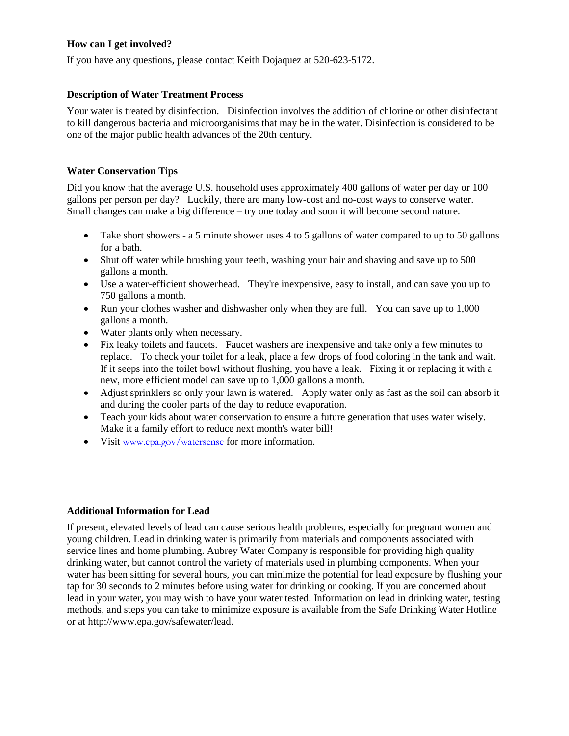# **How can I get involved?**

If you have any questions, please contact Keith Dojaquez at 520-623-5172.

### **Description of Water Treatment Process**

Your water is treated by disinfection. Disinfection involves the addition of chlorine or other disinfectant to kill dangerous bacteria and microorganisims that may be in the water. Disinfection is considered to be one of the major public health advances of the 20th century.

## **Water Conservation Tips**

Did you know that the average U.S. household uses approximately 400 gallons of water per day or 100 gallons per person per day? Luckily, there are many low-cost and no-cost ways to conserve water. Small changes can make a big difference – try one today and soon it will become second nature.

- Take short showers a 5 minute shower uses 4 to 5 gallons of water compared to up to 50 gallons for a bath.
- Shut off water while brushing your teeth, washing your hair and shaving and save up to 500 gallons a month.
- Use a water-efficient showerhead. They're inexpensive, easy to install, and can save you up to 750 gallons a month.
- Run your clothes washer and dishwasher only when they are full. You can save up to 1,000 gallons a month.
- Water plants only when necessary.
- Fix leaky toilets and faucets. Faucet washers are inexpensive and take only a few minutes to replace. To check your toilet for a leak, place a few drops of food coloring in the tank and wait. If it seeps into the toilet bowl without flushing, you have a leak. Fixing it or replacing it with a new, more efficient model can save up to 1,000 gallons a month.
- Adjust sprinklers so only your lawn is watered. Apply water only as fast as the soil can absorb it and during the cooler parts of the day to reduce evaporation.
- Teach your kids about water conservation to ensure a future generation that uses water wisely. Make it a family effort to reduce next month's water bill!
- Visit [www.epa.gov/watersense](http://www.epa.gov/watersense) for more information.

#### **Additional Information for Lead**

If present, elevated levels of lead can cause serious health problems, especially for pregnant women and young children. Lead in drinking water is primarily from materials and components associated with service lines and home plumbing. Aubrey Water Company is responsible for providing high quality drinking water, but cannot control the variety of materials used in plumbing components. When your water has been sitting for several hours, you can minimize the potential for lead exposure by flushing your tap for 30 seconds to 2 minutes before using water for drinking or cooking. If you are concerned about lead in your water, you may wish to have your water tested. Information on lead in drinking water, testing methods, and steps you can take to minimize exposure is available from the Safe Drinking Water Hotline or at http://www.epa.gov/safewater/lead.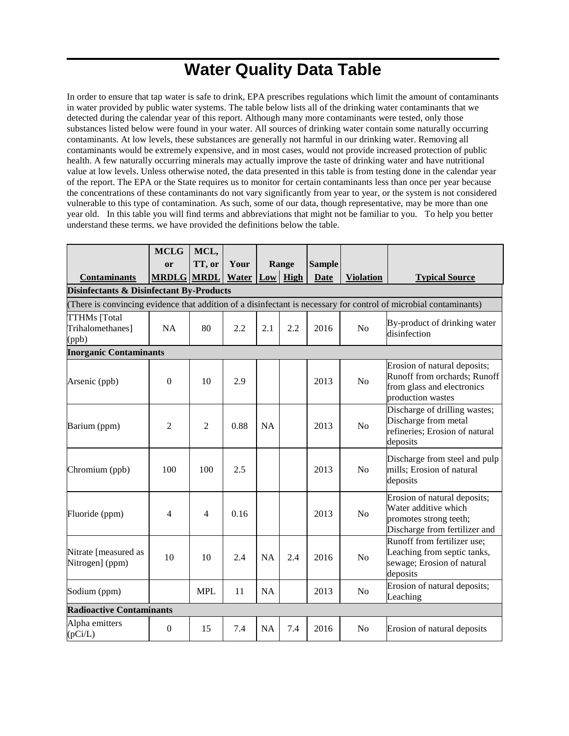# **Water Quality Data Table**

In order to ensure that tap water is safe to drink, EPA prescribes regulations which limit the amount of contaminants in water provided by public water systems. The table below lists all of the drinking water contaminants that we detected during the calendar year of this report. Although many more contaminants were tested, only those substances listed below were found in your water. All sources of drinking water contain some naturally occurring contaminants. At low levels, these substances are generally not harmful in our drinking water. Removing all contaminants would be extremely expensive, and in most cases, would not provide increased protection of public health. A few naturally occurring minerals may actually improve the taste of drinking water and have nutritional value at low levels. Unless otherwise noted, the data presented in this table is from testing done in the calendar year of the report. The EPA or the State requires us to monitor for certain contaminants less than once per year because the concentrations of these contaminants do not vary significantly from year to year, or the system is not considered vulnerable to this type of contamination. As such, some of our data, though representative, may be more than one year old. In this table you will find terms and abbreviations that might not be familiar to you. To help you better understand these terms, we have provided the definitions below the table.

|                                                                                                                   | <b>MCLG</b>      | MCL,           |       |           |                 |               |                  |                                                                                                                 |
|-------------------------------------------------------------------------------------------------------------------|------------------|----------------|-------|-----------|-----------------|---------------|------------------|-----------------------------------------------------------------------------------------------------------------|
|                                                                                                                   | or               | TT, or         | Your  |           | Range           | <b>Sample</b> |                  |                                                                                                                 |
| <b>Contaminants</b>                                                                                               | <b>MRDLG</b>     | <b>MRDL</b>    | Water |           | <b>Low</b> High | <b>Date</b>   | <b>Violation</b> | <b>Typical Source</b>                                                                                           |
| <b>Disinfectants &amp; Disinfectant By-Products</b>                                                               |                  |                |       |           |                 |               |                  |                                                                                                                 |
| (There is convincing evidence that addition of a disinfectant is necessary for control of microbial contaminants) |                  |                |       |           |                 |               |                  |                                                                                                                 |
| <b>TTHMs</b> [Total<br>Trihalomethanes]<br>(ppb)                                                                  | <b>NA</b>        | 80             | 2.2   | 2.1       | 2.2             | 2016          | No               | By-product of drinking water<br>disinfection                                                                    |
| <b>Inorganic Contaminants</b>                                                                                     |                  |                |       |           |                 |               |                  |                                                                                                                 |
| Arsenic (ppb)                                                                                                     | $\boldsymbol{0}$ | 10             | 2.9   |           |                 | 2013          | N <sub>o</sub>   | Erosion of natural deposits;<br>Runoff from orchards; Runoff<br>from glass and electronics<br>production wastes |
| Barium (ppm)                                                                                                      | $\overline{2}$   | $\overline{2}$ | 0.88  | <b>NA</b> |                 | 2013          | N <sub>o</sub>   | Discharge of drilling wastes;<br>Discharge from metal<br>refineries; Erosion of natural<br>deposits             |
| Chromium (ppb)                                                                                                    | 100              | 100            | 2.5   |           |                 | 2013          | N <sub>o</sub>   | Discharge from steel and pulp<br>mills; Erosion of natural<br>deposits                                          |
| Fluoride (ppm)                                                                                                    | 4                | $\overline{4}$ | 0.16  |           |                 | 2013          | N <sub>o</sub>   | Erosion of natural deposits;<br>Water additive which<br>promotes strong teeth;<br>Discharge from fertilizer and |
| Nitrate [measured as<br>Nitrogen] (ppm)                                                                           | 10               | 10             | 2.4   | <b>NA</b> | 2.4             | 2016          | N <sub>o</sub>   | Runoff from fertilizer use;<br>Leaching from septic tanks,<br>sewage; Erosion of natural<br>deposits            |
| Sodium (ppm)                                                                                                      |                  | <b>MPL</b>     | 11    | <b>NA</b> |                 | 2013          | N <sub>o</sub>   | Erosion of natural deposits;<br>Leaching                                                                        |
| <b>Radioactive Contaminants</b>                                                                                   |                  |                |       |           |                 |               |                  |                                                                                                                 |
| Alpha emitters<br>(pCi/L)                                                                                         | $\mathbf{0}$     | 15             | 7.4   | <b>NA</b> | 7.4             | 2016          | N <sub>o</sub>   | Erosion of natural deposits                                                                                     |